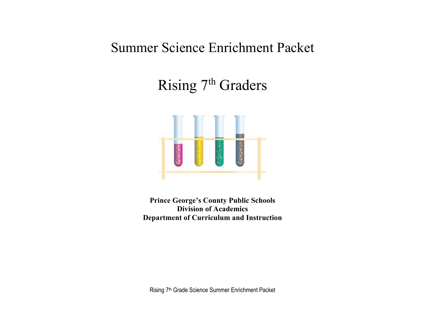## Summer Science Enrichment Packet

# Rising 7<sup>th</sup> Graders



**Prince George's County Public Schools Division of Academics Department of Curriculum and Instruction**

Rising 7th Grade Science Summer Enrichment Packet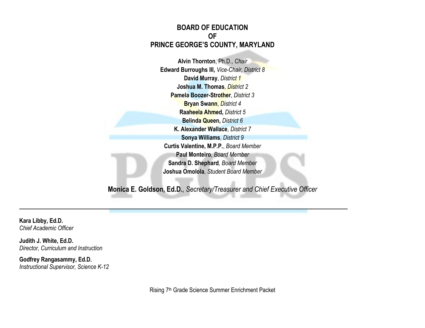#### **BOARD OF EDUCATION OF PRINCE GEORGE'S COUNTY, MARYLAND**

**Alvin Thornton**, Ph.D., *Chair* **Edward Burroughs III,** *Vice-Chair, District 8* **David Murray**, *District 1* **Joshua M. Thomas**, *District 2* **Pamela Boozer-Strother**, *District 3* **Bryan Swann**, *District 4* **Raaheela Ahmed,** *District 5* **Belinda Queen,** *District 6* **K. Alexander Wallace**, *District 7* **Sonya Williams**, *District 9* **Curtis Valentine, M.P.P.**, *Board Member* **Paul Monteiro***, Board Member* **Sandra D. Shephard***, Board Member* **Joshua Omolola**, *Student Board Member*

**Monica E. Goldson, Ed.D.**, *Secretary/Treasurer and Chief Executive Officer*

**Kara Libby, Ed.D.** *Chief Academic Officer*

**Judith J. White, Ed.D.** *Director, Curriculum and Instruction*

**Godfrey Rangasammy, Ed.D.** *Instructional Supervisor, Science K-12*

Rising 7th Grade Science Summer Enrichment Packet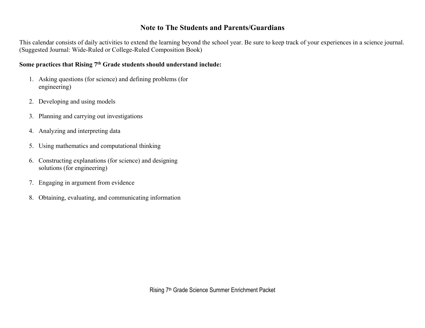#### **Note to The Students and Parents/Guardians**

This calendar consists of daily activities to extend the learning beyond the school year. Be sure to keep track of your experiences in a science journal. (Suggested Journal: Wide-Ruled or College-Ruled Composition Book)

#### **Some practices that Rising 7th Grade students should understand include:**

- 1. Asking questions (for science) and defining problems (for engineering)
- 2. Developing and using models
- 3. Planning and carrying out investigations
- 4. Analyzing and interpreting data
- 5. Using mathematics and computational thinking
- 6. Constructing explanations (for science) and designing solutions (for engineering)
- 7. Engaging in argument from evidence
- 8. Obtaining, evaluating, and communicating information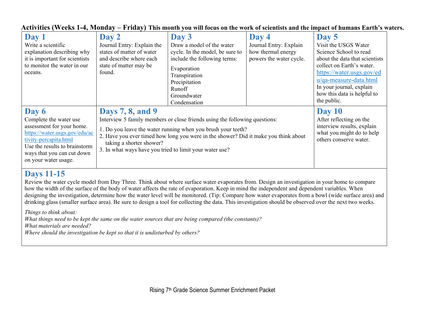| Day 1<br>Write a scientific<br>explanation describing why<br>it is important for scientists<br>to monitor the water in our<br>oceans.                                                                         | Day 2<br>Journal Entry: Explain the<br>states of matter of water<br>and describe where each<br>state of matter may be<br>found.                                                                                                                                                                                                                     | Day 3<br>Draw a model of the water<br>cycle. In the model, be sure to<br>include the following terms:<br>Evaporation<br>Transpiration<br>Precipitation<br>Runoff<br>Groundwater<br>Condensation | Day 4<br>Journal Entry: Explain<br>how thermal energy<br>powers the water cycle.                                       | Day 5<br>Visit the USGS Water<br>Science School to read<br>about the data that scientists<br>collect on Earth's water.<br>https://water.usgs.gov/ed<br>u/qa-measure-data.html<br>In your journal, explain<br>how this data is helpful to<br>the public. |
|---------------------------------------------------------------------------------------------------------------------------------------------------------------------------------------------------------------|-----------------------------------------------------------------------------------------------------------------------------------------------------------------------------------------------------------------------------------------------------------------------------------------------------------------------------------------------------|-------------------------------------------------------------------------------------------------------------------------------------------------------------------------------------------------|------------------------------------------------------------------------------------------------------------------------|---------------------------------------------------------------------------------------------------------------------------------------------------------------------------------------------------------------------------------------------------------|
| Day 6<br>Complete the water use<br>assessment for your home.<br>https://water.usgs.gov/edu/ac<br>tivity-percapita.html<br>Use the results to brainstorm<br>ways that you can cut down<br>on your water usage. | <b>Days 7, 8, and 9</b><br>Interview 5 family members or close friends using the following questions:<br>1. Do you leave the water running when you brush your teeth?<br>2. Have you ever timed how long you were in the shower? Did it make you think about<br>taking a shorter shower?<br>3. In what ways have you tried to limit your water use? |                                                                                                                                                                                                 | Day 10<br>After reflecting on the<br>interview results, explain<br>what you might do to help<br>others conserve water. |                                                                                                                                                                                                                                                         |

#### **Activities (Weeks 1-4, Monday – Friday) This month you will focus on the work of scientists and the impact of humans Earth's waters.**

#### **Days 11-15**

Review the water cycle model from Day Three. Think about where surface water evaporates from. Design an investigation in your home to compare how the width of the surface of the body of water affects the rate of evaporation. Keep in mind the independent and dependent variables. When designing the investigation, determine how the water level will be monitored. (Tip: Compare how water evaporates from a bowl (wide surface area) and drinking glass (smaller surface area). Be sure to design a tool for collecting the data. This investigation should be observed over the next two weeks.

*Things to think about: What things need to be kept the same on the water sources that are being compared (the constants)? What materials are needed? Where should the investigation be kept so that it is undisturbed by others?*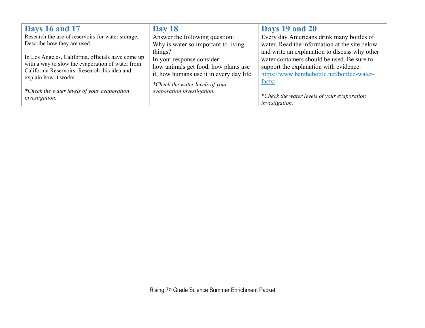| Days 16 and 17                                                                                    | <b>Day 18</b>                            | Days 19 and 20                                |
|---------------------------------------------------------------------------------------------------|------------------------------------------|-----------------------------------------------|
| Research the use of reservoirs for water storage.                                                 | Answer the following question:           | Every day Americans drink many bottles of     |
| Describe how they are used.                                                                       | Why is water so important to living      | water. Read the information at the site below |
|                                                                                                   | things?                                  | and write an explanation to discuss why other |
| In Los Angeles, California, officials have come up                                                | In your response consider:               | water containers should be used. Be sure to   |
| with a way to slow the evaporation of water from<br>California Reservoirs. Research this idea and | how animals get food, how plants use     | support the explanation with evidence.        |
| explain how it works.                                                                             | it, how humans use it in every day life. | https://www.banthebottle.net/bottled-water-   |
|                                                                                                   | *Check the water levels of your          | facts/                                        |
| *Check the water levels of your evaporation                                                       | evaporation investigation.               |                                               |
| <i>investigation.</i>                                                                             |                                          | *Check the water levels of your evaporation   |
|                                                                                                   |                                          | investigation.                                |